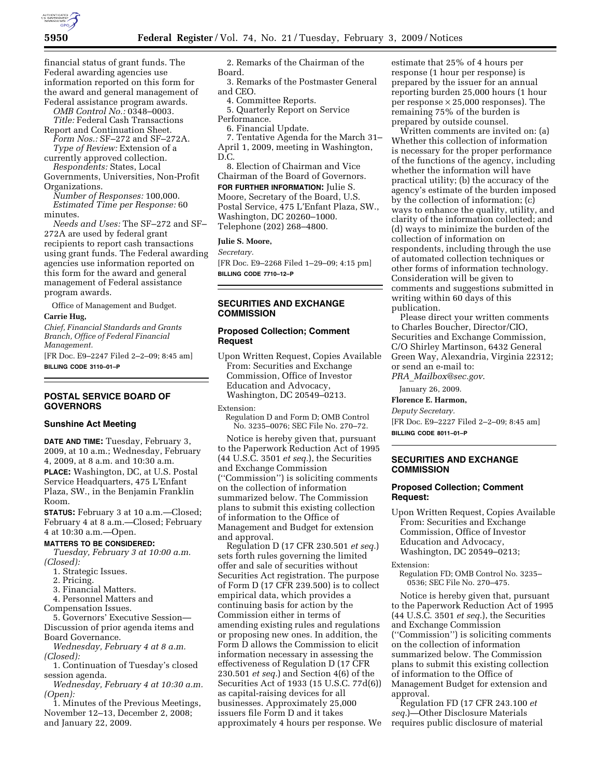

financial status of grant funds. The Federal awarding agencies use information reported on this form for the award and general management of Federal assistance program awards.

*OMB Control No.:* 0348–0003. *Title:* Federal Cash Transactions

Report and Continuation Sheet. *Form Nos.:* SF–272 and SF–272A.

*Type of Review:* Extension of a currently approved collection.

*Respondents:* States, Local Governments, Universities, Non-Profit Organizations.

*Number of Responses:* 100,000. *Estimated Time per Response:* 60 minutes.

*Needs and Uses:* The SF–272 and SF– 272A are used by federal grant recipients to report cash transactions using grant funds. The Federal awarding agencies use information reported on this form for the award and general management of Federal assistance program awards.

Office of Management and Budget.

**Carrie Hug,** 

*Chief, Financial Standards and Grants Branch, Office of Federal Financial Management.* 

[FR Doc. E9–2247 Filed 2–2–09; 8:45 am] **BILLING CODE 3110–01–P** 

# **POSTAL SERVICE BOARD OF GOVERNORS**

#### **Sunshine Act Meeting**

**DATE AND TIME:** Tuesday, February 3, 2009, at 10 a.m.; Wednesday, February 4, 2009, at 8 a.m. and 10:30 a.m. **PLACE:** Washington, DC, at U.S. Postal Service Headquarters, 475 L'Enfant

Plaza, SW., in the Benjamin Franklin Room.

**STATUS:** February 3 at 10 a.m.—Closed; February 4 at 8 a.m.—Closed; February 4 at 10:30 a.m.—Open.

# **MATTERS TO BE CONSIDERED:**

*Tuesday, February 3 at 10:00 a.m. (Closed):* 

- 1. Strategic Issues.
- 2. Pricing.
- 3. Financial Matters.

4. Personnel Matters and

Compensation Issues.

5. Governors' Executive Session— Discussion of prior agenda items and Board Governance.

*Wednesday, February 4 at 8 a.m. (Closed):* 

1. Continuation of Tuesday's closed session agenda.

*Wednesday, February 4 at 10:30 a.m. (Open):* 

1. Minutes of the Previous Meetings, November 12–13, December 2, 2008; and January 22, 2009.

2. Remarks of the Chairman of the Board.

3. Remarks of the Postmaster General and CEO.

- 4. Committee Reports.
- 5. Quarterly Report on Service Performance.

6. Financial Update.

7. Tentative Agenda for the March 31– April 1, 2009, meeting in Washington, D.C.

8. Election of Chairman and Vice Chairman of the Board of Governors.

**FOR FURTHER INFORMATION:** Julie S. Moore, Secretary of the Board, U.S. Postal Service, 475 L'Enfant Plaza, SW., Washington, DC 20260–1000. Telephone (202) 268–4800.

**Julie S. Moore,** 

*Secretary.* 

[FR Doc. E9–2268 Filed 1–29–09; 4:15 pm] **BILLING CODE 7710–12–P** 

# **SECURITIES AND EXCHANGE COMMISSION**

# **Proposed Collection; Comment Request**

Upon Written Request, Copies Available From: Securities and Exchange Commission, Office of Investor Education and Advocacy, Washington, DC 20549–0213.

Extension:

Regulation D and Form D; OMB Control No. 3235–0076; SEC File No. 270–72.

Notice is hereby given that, pursuant to the Paperwork Reduction Act of 1995 (44 U.S.C. 3501 *et seq.*), the Securities and Exchange Commission (''Commission'') is soliciting comments on the collection of information summarized below. The Commission plans to submit this existing collection of information to the Office of Management and Budget for extension and approval.

Regulation D (17 CFR 230.501 *et seq.*) sets forth rules governing the limited offer and sale of securities without Securities Act registration. The purpose of Form D (17 CFR 239.500) is to collect empirical data, which provides a continuing basis for action by the Commission either in terms of amending existing rules and regulations or proposing new ones. In addition, the Form D allows the Commission to elicit information necessary in assessing the effectiveness of Regulation D (17 CFR 230.501 *et seq.*) and Section 4(6) of the Securities Act of 1933 (15 U.S.C. 77d(6)) as capital-raising devices for all businesses. Approximately 25,000 issuers file Form D and it takes approximately 4 hours per response. We

estimate that 25% of 4 hours per response (1 hour per response) is prepared by the issuer for an annual reporting burden 25,000 hours (1 hour per response  $\times$  25,000 responses). The remaining 75% of the burden is prepared by outside counsel.

Written comments are invited on: (a) Whether this collection of information is necessary for the proper performance of the functions of the agency, including whether the information will have practical utility; (b) the accuracy of the agency's estimate of the burden imposed by the collection of information; (c) ways to enhance the quality, utility, and clarity of the information collected; and (d) ways to minimize the burden of the collection of information on respondents, including through the use of automated collection techniques or other forms of information technology. Consideration will be given to comments and suggestions submitted in writing within 60 days of this publication.

Please direct your written comments to Charles Boucher, Director/CIO, Securities and Exchange Commission, C/O Shirley Martinson, 6432 General Green Way, Alexandria, Virginia 22312; or send an e-mail to: *PRA*\_*Mailbox@sec.gov*.

January 26, 2009.

**Florence E. Harmon,** 

*Deputy Secretary.*  [FR Doc. E9–2227 Filed 2–2–09; 8:45 am] **BILLING CODE 8011–01–P** 

# **SECURITIES AND EXCHANGE COMMISSION**

#### **Proposed Collection; Comment Request:**

Upon Written Request, Copies Available From: Securities and Exchange Commission, Office of Investor Education and Advocacy, Washington, DC 20549–0213;

Extension:

Regulation FD; OMB Control No. 3235– 0536; SEC File No. 270–475.

Notice is hereby given that, pursuant to the Paperwork Reduction Act of 1995 (44 U.S.C. 3501 *et seq.*), the Securities and Exchange Commission (''Commission'') is soliciting comments on the collection of information summarized below. The Commission plans to submit this existing collection of information to the Office of Management Budget for extension and approval.

Regulation FD (17 CFR 243.100 *et seq.*)—Other Disclosure Materials requires public disclosure of material